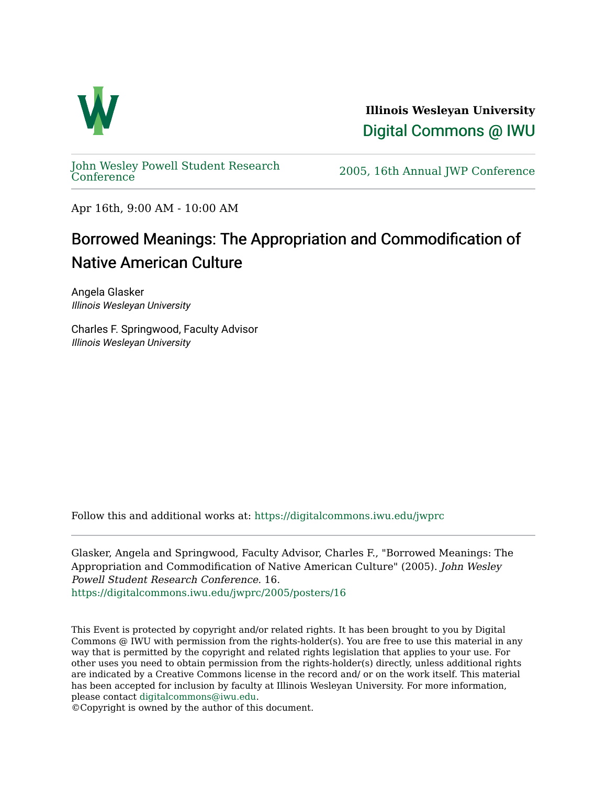

**Illinois Wesleyan University**  [Digital Commons @ IWU](https://digitalcommons.iwu.edu/) 

[John Wesley Powell Student Research](https://digitalcommons.iwu.edu/jwprc) 

2005, 16th Annual JWP [Conference](https://digitalcommons.iwu.edu/jwprc)

Apr 16th, 9:00 AM - 10:00 AM

## Borrowed Meanings: The Appropriation and Commodification of Native American Culture

Angela Glasker Illinois Wesleyan University

Charles F. Springwood, Faculty Advisor Illinois Wesleyan University

Follow this and additional works at: [https://digitalcommons.iwu.edu/jwprc](https://digitalcommons.iwu.edu/jwprc?utm_source=digitalcommons.iwu.edu%2Fjwprc%2F2005%2Fposters%2F16&utm_medium=PDF&utm_campaign=PDFCoverPages) 

Glasker, Angela and Springwood, Faculty Advisor, Charles F., "Borrowed Meanings: The Appropriation and Commodification of Native American Culture" (2005). John Wesley Powell Student Research Conference. 16. [https://digitalcommons.iwu.edu/jwprc/2005/posters/16](https://digitalcommons.iwu.edu/jwprc/2005/posters/16?utm_source=digitalcommons.iwu.edu%2Fjwprc%2F2005%2Fposters%2F16&utm_medium=PDF&utm_campaign=PDFCoverPages)

This Event is protected by copyright and/or related rights. It has been brought to you by Digital Commons @ IWU with permission from the rights-holder(s). You are free to use this material in any way that is permitted by the copyright and related rights legislation that applies to your use. For other uses you need to obtain permission from the rights-holder(s) directly, unless additional rights are indicated by a Creative Commons license in the record and/ or on the work itself. This material has been accepted for inclusion by faculty at Illinois Wesleyan University. For more information, please contact [digitalcommons@iwu.edu.](mailto:digitalcommons@iwu.edu)

©Copyright is owned by the author of this document.